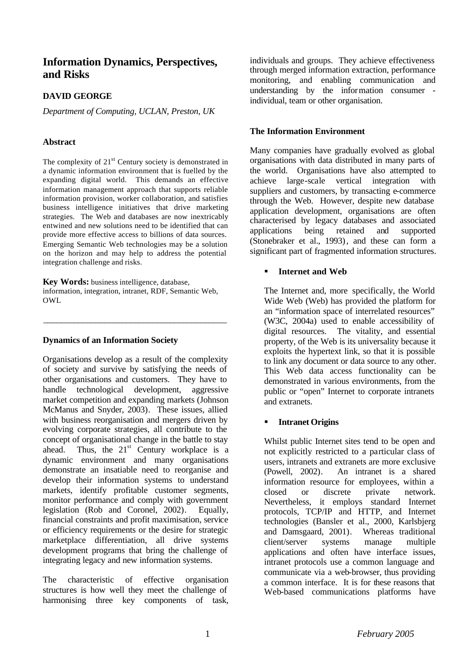# **Information Dynamics, Perspectives, and Risks**

### **DAVID GEORGE**

*Department of Computing, UCLAN, Preston, UK*

### **Abstract**

The complexity of  $21<sup>st</sup>$  Century society is demonstrated in a dynamic information environment that is fuelled by the expanding digital world. This demands an effective information management approach that supports reliable information provision, worker collaboration, and satisfies business intelligence initiatives that drive marketing strategies. The Web and databases are now inextricably entwined and new solutions need to be identified that can provide more effective access to billions of data sources. Emerging Semantic Web technologies may be a solution on the horizon and may help to address the potential integration challenge and risks.

**Key Words:** business intelligence, database, information, integration, intranet, RDF, Semantic Web, OWL

\_\_\_\_\_\_\_\_\_\_\_\_\_\_\_\_\_\_\_\_\_\_\_\_\_\_\_\_\_\_\_\_\_\_\_\_\_\_\_\_\_\_

### **Dynamics of an Information Society**

Organisations develop as a result of the complexity of society and survive by satisfying the needs of other organisations and customers. They have to handle technological development, aggressive market competition and expanding markets (Johnson McManus and Snyder, 2003). These issues, allied with business reorganisation and mergers driven by evolving corporate strategies, all contribute to the concept of organisational change in the battle to stay ahead. Thus, the  $21<sup>st</sup>$  Century workplace is a dynamic environment and many organisations demonstrate an insatiable need to reorganise and develop their information systems to understand markets, identify profitable customer segments, monitor performance and comply with government legislation (Rob and Coronel, 2002). Equally, financial constraints and profit maximisation, service or efficiency requirements or the desire for strategic marketplace differentiation, all drive systems development programs that bring the challenge of integrating legacy and new information systems.

The characteristic of effective organisation structures is how well they meet the challenge of harmonising three key components of task, individuals and groups. They achieve effectiveness through merged information extraction, performance monitoring, and enabling communication and understanding by the information consumer individual, team or other organisation.

### **The Information Environment**

Many companies have gradually evolved as global organisations with data distributed in many parts of the world. Organisations have also attempted to achieve large-scale vertical integration with suppliers and customers, by transacting e-commerce through the Web. However, despite new database application development, organisations are often characterised by legacy databases and associated applications being retained and supported (Stonebraker et al., 1993), and these can form a significant part of fragmented information structures.

### ß **Internet and Web**

The Internet and, more specifically, the World Wide Web (Web) has provided the platform for an "information space of interrelated resources" (W3C, 2004a) used to enable accessibility of digital resources. The vitality, and essential property, of the Web is its universality because it exploits the hypertext link, so that it is possible to link any document or data source to any other. This Web data access functionality can be demonstrated in various environments, from the public or "open" Internet to corporate intranets and extranets.

## ß **Intranet Origins**

Whilst public Internet sites tend to be open and not explicitly restricted to a particular class of users, intranets and extranets are more exclusive (Powell, 2002). An intranet is a shared information resource for employees, within a closed or discrete private network. Nevertheless, it employs standard Internet protocols, TCP/IP and HTTP, and Internet technologies (Bansler et al., 2000, Karlsbjerg and Damsgaard, 2001). Whereas traditional client/server systems manage multiple applications and often have interface issues, intranet protocols use a common language and communicate via a web-browser, thus providing a common interface. It is for these reasons that Web-based communications platforms have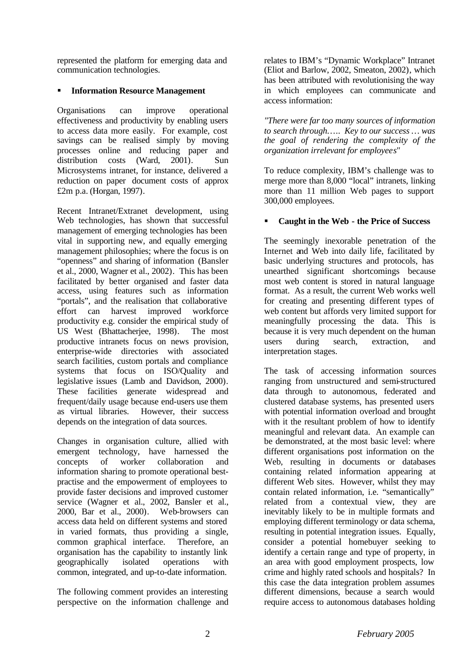represented the platform for emerging data and communication technologies.

### **EXECUTE:** Information Resource Management

Organisations can improve operational effectiveness and productivity by enabling users to access data more easily. For example, cost savings can be realised simply by moving processes online and reducing paper and distribution costs (Ward, 2001). Sun Microsystems intranet, for instance, delivered a reduction on paper document costs of approx £2m p.a. (Horgan, 1997).

Recent Intranet/Extranet development, using Web technologies, has shown that successful management of emerging technologies has been vital in supporting new, and equally emerging management philosophies; where the focus is on "openness" and sharing of information (Bansler et al., 2000, Wagner et al., 2002). This has been facilitated by better organised and faster data access, using features such as information "portals", and the realisation that collaborative effort can harvest improved workforce productivity e.g. consider the empirical study of US West (Bhattacherjee, 1998). The most productive intranets focus on news provision, enterprise-wide directories with associated search facilities, custom portals and compliance systems that focus on ISO/Quality and legislative issues (Lamb and Davidson, 2000). These facilities generate widespread and frequent/daily usage because end-users use them as virtual libraries. However, their success depends on the integration of data sources.

Changes in organisation culture, allied with emergent technology, have harnessed the concepts of worker collaboration and information sharing to promote operational bestpractise and the empowerment of employees to provide faster decisions and improved customer service (Wagner et al., 2002, Bansler et al., 2000, Bar et al., 2000). Web-browsers can access data held on different systems and stored in varied formats, thus providing a single, common graphical interface. Therefore, an organisation has the capability to instantly link geographically isolated operations with common, integrated, and up-to-date information.

The following comment provides an interesting perspective on the information challenge and relates to IBM's "Dynamic Workplace" Intranet (Eliot and Barlow, 2002, Smeaton, 2002), which has been attributed with revolutionising the way in which employees can communicate and access information:

*"There were far too many sources of information to search through*….. *Key to our success … was the goal of rendering the complexity of the organization irrelevant for employees"*

To reduce complexity, IBM's challenge was to merge more than 8,000 "local" intranets, linking more than 11 million Web pages to support 300,000 employees.

### ß **Caught in the Web - the Price of Success**

The seemingly inexorable penetration of the Internet and Web into daily life, facilitated by basic underlying structures and protocols, has unearthed significant shortcomings because most web content is stored in natural language format. As a result, the current Web works well for creating and presenting different types of web content but affords very limited support for meaningfully processing the data. This is because it is very much dependent on the human users during search, extraction, and interpretation stages.

The task of accessing information sources ranging from unstructured and semi-structured data through to autonomous, federated and clustered database systems, has presented users with potential information overload and brought with it the resultant problem of how to identify meaningful and relevant data. An example can be demonstrated, at the most basic level: where different organisations post information on the Web, resulting in documents or databases containing related information appearing at different Web sites. However, whilst they may contain related information, i.e. "semantically" related from a contextual view, they are inevitably likely to be in multiple formats and employing different terminology or data schema, resulting in potential integration issues. Equally, consider a potential homebuyer seeking to identify a certain range and type of property, in an area with good employment prospects, low crime and highly rated schools and hospitals? In this case the data integration problem assumes different dimensions, because a search would require access to autonomous databases holding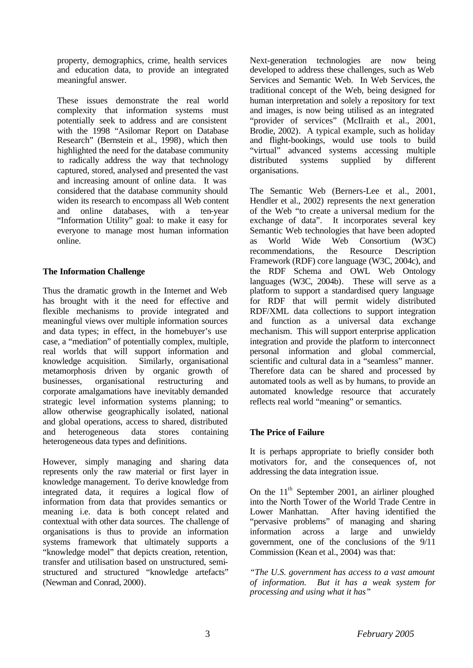property, demographics, crime, health services and education data, to provide an integrated meaningful answer.

These issues demonstrate the real world complexity that information systems must potentially seek to address and are consistent with the 1998 "Asilomar Report on Database Research" (Bernstein et al., 1998), which then highlighted the need for the database community to radically address the way that technology captured, stored, analysed and presented the vast and increasing amount of online data. It was considered that the database community should widen its research to encompass all Web content and online databases, with a ten-year "Information Utility" goal: to make it easy for everyone to manage most human information online.

### **The Information Challenge**

Thus the dramatic growth in the Internet and Web has brought with it the need for effective and flexible mechanisms to provide integrated and meaningful views over multiple information sources and data types; in effect, in the homebuyer's use case, a "mediation" of potentially complex, multiple, real worlds that will support information and knowledge acquisition. Similarly, organisational metamorphosis driven by organic growth of businesses, organisational restructuring and corporate amalgamations have inevitably demanded strategic level information systems planning; to allow otherwise geographically isolated, national and global operations, access to shared, distributed and heterogeneous data stores containing heterogeneous data types and definitions.

However, simply managing and sharing data represents only the raw material or first layer in knowledge management. To derive knowledge from integrated data, it requires a logical flow of information from data that provides semantics or meaning i.e. data is both concept related and contextual with other data sources. The challenge of organisations is thus to provide an information systems framework that ultimately supports a "knowledge model" that depicts creation, retention, transfer and utilisation based on unstructured, semistructured and structured "knowledge artefacts" (Newman and Conrad, 2000).

Next-generation technologies are now being developed to address these challenges, such as Web Services and Semantic Web. In Web Services, the traditional concept of the Web, being designed for human interpretation and solely a repository for text and images, is now being utilised as an integrated "provider of services" (McIlraith et al., 2001, Brodie, 2002). A typical example, such as holiday and flight-bookings, would use tools to build "virtual" advanced systems accessing multiple distributed systems supplied by different organisations.

The Semantic Web (Berners-Lee et al., 2001, Hendler et al., 2002) represents the next generation of the Web "to create a universal medium for the exchange of data". It incorporates several key Semantic Web technologies that have been adopted as World Wide Web Consortium (W3C) recommendations, the Resource Description Framework (RDF) core language (W3C, 2004c), and the RDF Schema and OWL Web Ontology languages (W3C, 2004b). These will serve as a platform to support a standardised query language for RDF that will permit widely distributed RDF/XML data collections to support integration and function as a universal data exchange mechanism. This will support enterprise application integration and provide the platform to interconnect personal information and global commercial, scientific and cultural data in a "seamless" manner. Therefore data can be shared and processed by automated tools as well as by humans, to provide an automated knowledge resource that accurately reflects real world "meaning" or semantics.

### **The Price of Failure**

It is perhaps appropriate to briefly consider both motivators for, and the consequences of, not addressing the data integration issue.

On the  $11<sup>th</sup>$  September 2001, an airliner ploughed into the North Tower of the World Trade Centre in Lower Manhattan. After having identified the "pervasive problems" of managing and sharing information across a large and unwieldy government, one of the conclusions of the 9/11 Commission (Kean et al., 2004) was that:

*"The U.S. government has access to a vast amount of information. But it has a weak system for processing and using what it has"*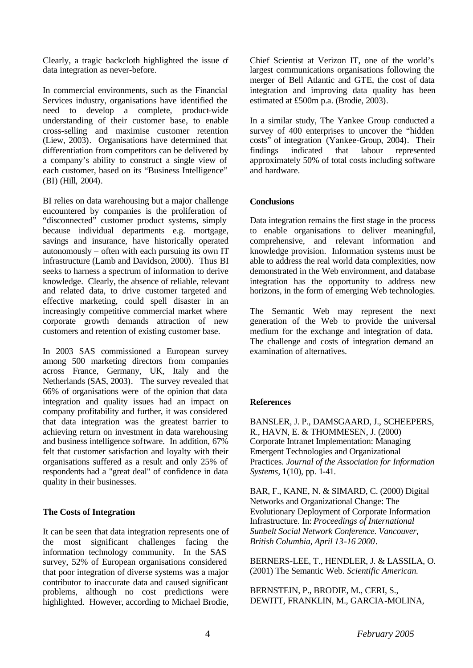Clearly, a tragic backcloth highlighted the issue of data integration as never-before.

In commercial environments, such as the Financial Services industry, organisations have identified the need to develop a complete, product-wide understanding of their customer base, to enable cross-selling and maximise customer retention (Liew, 2003). Organisations have determined that differentiation from competitors can be delivered by a company's ability to construct a single view of each customer, based on its "Business Intelligence" (BI) (Hill, 2004).

BI relies on data warehousing but a major challenge encountered by companies is the proliferation of "disconnected" customer product systems, simply because individual departments e.g. mortgage, savings and insurance, have historically operated autonomously – often with each pursuing its own IT infrastructure (Lamb and Davidson, 2000). Thus BI seeks to harness a spectrum of information to derive knowledge. Clearly, the absence of reliable, relevant and related data, to drive customer targeted and effective marketing, could spell disaster in an increasingly competitive commercial market where corporate growth demands attraction of new customers and retention of existing customer base.

In 2003 SAS commissioned a European survey among 500 marketing directors from companies across France, Germany, UK, Italy and the Netherlands (SAS, 2003). The survey revealed that 66% of organisations were of the opinion that data integration and quality issues had an impact on company profitability and further, it was considered that data integration was the greatest barrier to achieving return on investment in data warehousing and business intelligence software. In addition, 67% felt that customer satisfaction and loyalty with their organisations suffered as a result and only 25% of respondents had a "great deal" of confidence in data quality in their businesses.

### **The Costs of Integration**

It can be seen that data integration represents one of the most significant challenges facing the information technology community. In the SAS survey, 52% of European organisations considered that poor integration of diverse systems was a major contributor to inaccurate data and caused significant problems, although no cost predictions were highlighted. However, according to Michael Brodie, Chief Scientist at Verizon IT, one of the world's largest communications organisations following the merger of Bell Atlantic and GTE, the cost of data integration and improving data quality has been estimated at £500m p.a. (Brodie, 2003).

In a similar study, The Yankee Group conducted a survey of 400 enterprises to uncover the "hidden costs" of integration (Yankee-Group, 2004). Their findings indicated that labour represented approximately 50% of total costs including software and hardware.

#### **Conclusions**

Data integration remains the first stage in the process to enable organisations to deliver meaningful, comprehensive, and relevant information and knowledge provision. Information systems must be able to address the real world data complexities, now demonstrated in the Web environment, and database integration has the opportunity to address new horizons, in the form of emerging Web technologies.

The Semantic Web may represent the next generation of the Web to provide the universal medium for the exchange and integration of data. The challenge and costs of integration demand an examination of alternatives.

### **References**

BANSLER, J. P., DAMSGAARD, J., SCHEEPERS, R., HAVN, E. & THOMMESEN, J. (2000) Corporate Intranet Implementation: Managing Emergent Technologies and Organizational Practices. *Journal of the Association for Information Systems,* **1**(10), pp. 1-41.

BAR, F., KANE, N. & SIMARD, C. (2000) Digital Networks and Organizational Change: The Evolutionary Deployment of Corporate Information Infrastructure. In: *Proceedings of International Sunbelt Social Network Conference. Vancouver, British Columbia, April 13-16 2000*.

BERNERS-LEE, T., HENDLER, J. & LASSILA, O. (2001) The Semantic Web. *Scientific American.*

BERNSTEIN, P., BRODIE, M., CERI, S., DEWITT, FRANKLIN, M., GARCIA-MOLINA,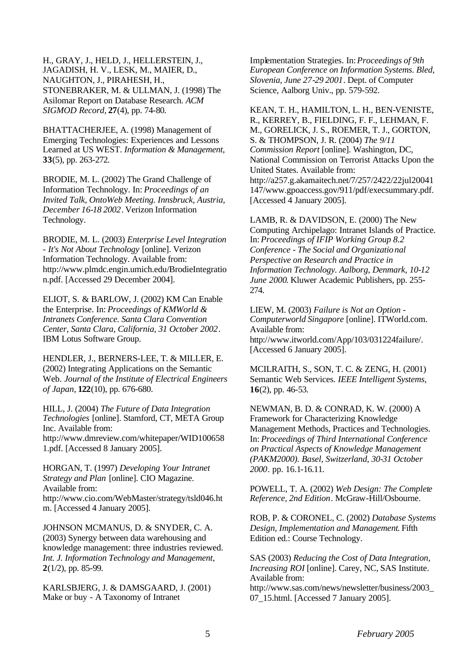H., GRAY, J., HELD, J., HELLERSTEIN, J., JAGADISH, H. V., LESK, M., MAIER, D., NAUGHTON, J., PIRAHESH, H., STONEBRAKER, M. & ULLMAN, J. (1998) The Asilomar Report on Database Research. *ACM SIGMOD Record,* **27**(4), pp. 74-80.

BHATTACHERJEE, A. (1998) Management of Emerging Technologies: Experiences and Lessons Learned at US WEST. *Information & Management,* **33**(5), pp. 263-272.

BRODIE, M. L. (2002) The Grand Challenge of Information Technology. In: *Proceedings of an Invited Talk, OntoWeb Meeting. Innsbruck, Austria, December 16-18 2002*. Verizon Information Technology.

BRODIE, M. L. (2003) *Enterprise Level Integration - It's Not About Technology* [online]. Verizon Information Technology. Available from: http://www.plmdc.engin.umich.edu/BrodieIntegratio n.pdf. [Accessed 29 December 2004].

ELIOT, S. & BARLOW, J. (2002) KM Can Enable the Enterprise. In: *Proceedings of KMWorld & Intranets Conference. Santa Clara Convention Center, Santa Clara, California, 31 October 2002*. IBM Lotus Software Group.

HENDLER, J., BERNERS-LEE, T. & MILLER, E. (2002) Integrating Applications on the Semantic Web. *Journal of the Institute of Electrical Engineers of Japan,* **122**(10), pp. 676-680.

HILL, J. (2004) *The Future of Data Integration Technologies* [online]. Stamford, CT, META Group Inc. Available from: http://www.dmreview.com/whitepaper/WID100658 1.pdf. [Accessed 8 January 2005].

HORGAN, T. (1997) *Developing Your Intranet Strategy and Plan* [online]. CIO Magazine. Available from: http://www.cio.com/WebMaster/strategy/tsld046.ht m. [Accessed 4 January 2005].

JOHNSON MCMANUS, D. & SNYDER, C. A. (2003) Synergy between data warehousing and knowledge management: three industries reviewed. *Int. J. Information Technology and Management,* **2**(1/2), pp. 85-99.

KARLSBJERG, J. & DAMSGAARD, J. (2001) Make or buy - A Taxonomy of Intranet

Implementation Strategies. In: *Proceedings of 9th European Conference on Information Systems. Bled, Slovenia, June 27-29 2001*. Dept. of Computer Science, Aalborg Univ., pp. 579-592.

KEAN, T. H., HAMILTON, L. H., BEN-VENISTE, R., KERREY, B., FIELDING, F. F., LEHMAN, F. M., GORELICK, J. S., ROEMER, T. J., GORTON, S. & THOMPSON, J. R. (2004) *The 9/11 Commission Report* [online]. Washington, DC, National Commission on Terrorist Attacks Upon the United States. Available from: http://a257.g.akamaitech.net/7/257/2422/22jul20041 147/www.gpoaccess.gov/911/pdf/execsummary.pdf. [Accessed 4 January 2005].

LAMB, R. & DAVIDSON, E. (2000) The New Computing Archipelago: Intranet Islands of Practice. In: *Proceedings of IFIP Working Group 8.2 Conference - The Social and Organizational Perspective on Research and Practice in Information Technology. Aalborg, Denmark, 10-12 June 2000*. Kluwer Academic Publishers, pp. 255- 274.

LIEW, M. (2003) *Failure is Not an Option - Computerworld Singapore* [online]. ITWorld.com. Available from: http://www.itworld.com/App/103/031224failure/. [Accessed 6 January 2005].

MCILRAITH, S., SON, T. C. & ZENG, H. (2001) Semantic Web Services. *IEEE Intelligent Systems,* **16**(2), pp. 46-53.

NEWMAN, B. D. & CONRAD, K. W. (2000) A Framework for Characterizing Knowledge Management Methods, Practices and Technologies. In: *Proceedings of Third International Conference on Practical Aspects of Knowledge Management (PAKM2000). Basel, Switzerland, 30-31 October 2000*. pp. 16.1-16.11.

POWELL, T. A. (2002) *Web Design: The Complete Reference, 2nd Edition*. McGraw-Hill/Osbourne.

ROB, P. & CORONEL, C. (2002) *Database Systems Design, Implementation and Management*. Fifth Edition ed.: Course Technology.

SAS (2003) *Reducing the Cost of Data Integration, Increasing ROI* [online]. Carey, NC, SAS Institute. Available from:

http://www.sas.com/news/newsletter/business/2003\_ 07\_15.html. [Accessed 7 January 2005].